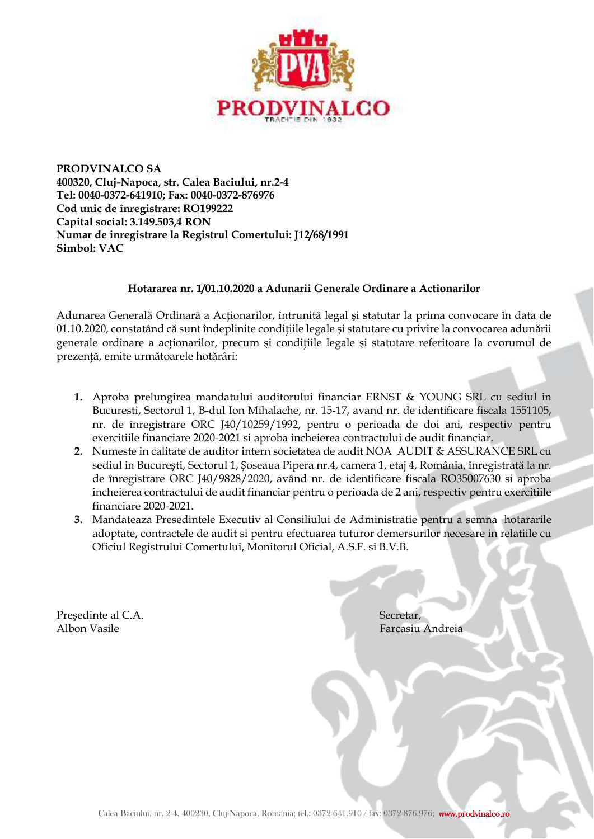

**PRODVINALCO SA 400320, Cluj-Napoca, str. Calea Baciului, nr.2-4 Tel: 0040-0372-641910; Fax: 0040-0372-876976 Cod unic de înregistrare: RO199222 Capital social: 3.149.503,4 RON Numar de inregistrare la Registrul Comertului: J12/68/1991 Simbol: VAC** 

## **Hotararea nr. 1/01.10.2020 a Adunarii Generale Ordinare a Actionarilor**

Adunarea Generală Ordinară a Acţionarilor, întrunită legal şi statutar la prima convocare în data de 01.10.2020, constatând că sunt îndeplinite condițiile legale și statutare cu privire la convocarea adunării generale ordinare a acționarilor, precum și condițiile legale și statutare referitoare la cvorumul de prezență, emite următoarele hotărâri:

- **1.** Aproba prelungirea mandatului auditorului financiar ERNST & YOUNG SRL cu sediul in Bucuresti, Sectorul 1, B-dul Ion Mihalache, nr. 15-17, avand nr. de identificare fiscala 1551105, nr. de înregistrare ORC J40/10259/1992, pentru o perioada de doi ani, respectiv pentru exercitiile financiare 2020-2021 si aproba incheierea contractului de audit financiar.
- **2.** Numeste in calitate de auditor intern societatea de audit NOA AUDIT & ASSURANCE SRL cu sediul in București, Sectorul 1, Șoseaua Pipera nr.4, camera 1, etaj 4, România, înregistrată la nr. de înregistrare ORC J40/9828/2020, având nr. de identificare fiscala RO35007630 si aproba incheierea contractului de audit financiar pentru o perioada de 2 ani, respectiv pentru exercitiile financiare 2020-2021.
- **3.** Mandateaza Presedintele Executiv al Consiliului de Administratie pentru a semna hotararile adoptate, contractele de audit si pentru efectuarea tuturor demersurilor necesare in relatiile cu Oficiul Registrului Comertului, Monitorul Oficial, A.S.F. si B.V.B.

Președinte al C.A. Secretar, Secretar, Secretar, Secretar, Secretar, Secretar, Secretar, Secretar, Secretar, Secretar, Secretar, Secretar, Secretar, Secretar, Secretar, Secretar, Secretar, Secretar, Secretar, Secretar, Sec

Farcasiu Andreia